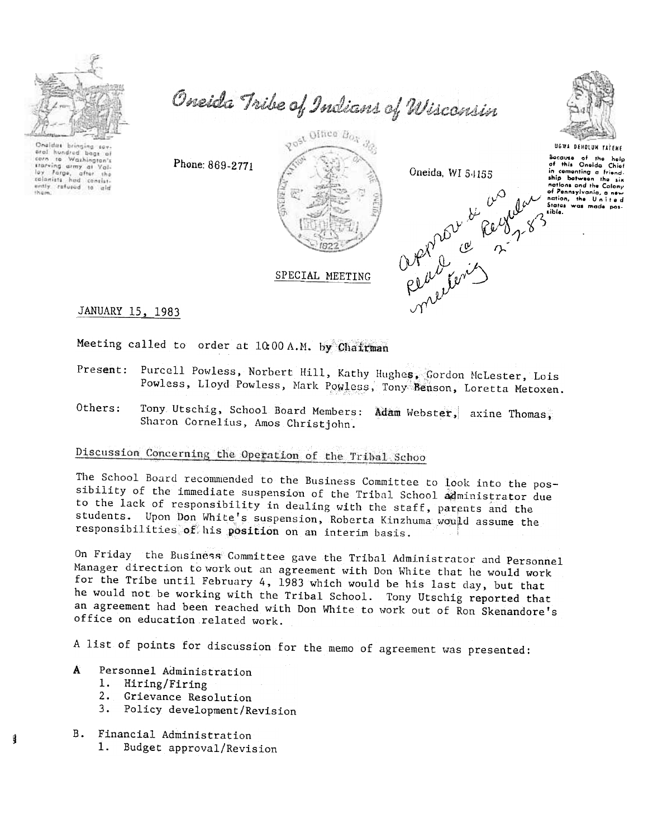

oral hundred bags of<br>corn to Washington's

starving army at Yol-<br>loy Farge, after the

loy Forge, after the<br>stallanists had consist-<br>entity refused to aid

Oneida Tribe of Indians of Wisconsin



SPECIAL MEETING

apporter de persieur.



UGWA DEHOLUN YATENE

cause of the help<br>this Oneida Chief Socause  $\tilde{d}$ in comenting a friendnations and the Calony of Pennsylvania and the Colony<br>of Pennsylvania, the United<br>States was made pos-<br>tible.

JANUARY 15, 1983

Meeting called to order at 10:00 A.M. by Chairman

Phone: 869-2771

- Present: Purcell Powless, Norbert Hill, Kathy Hughes, Gordon McLester, Lois Powless, Lloyd Powless, Mark Powless, Tony Benson, Loretta Metoxen.
- Tony Utschig, School Board Members: Adam Webster, axine Thomas, Others: Sharon Cornelius, Amos Christjohn.

## Discussion Concerning the Operation of the Tribal Schoo

The School Board recommended to the Business Committee to look into the possibility of the immediate suspension of the Tribal School administrator due to the lack of responsibility in dealing with the staff, parents and the students. Upon Don White's suspension, Roberta Kinzhuma would assume the responsibilities of his position on an interim basis.

On Friday the Business Committee gave the Tribal Administrator and Personnel Manager direction to work out an agreement with Don White that he would work for the Tribe until February 4, 1983 which would be his last day, but that he would not be working with the Tribal School. Tony Utschig reported that an agreement had been reached with Don White to work out of Ron Skenandore's office on education related work.

A list of points for discussion for the memo of agreement was presented:

- Ä Personnel Administration
	- 1. Hiring/Firing
	- $2.$ Grievance Resolution
	- $3.$ Policy development/Revision
- B. Financial Administration
	- 1. Budget approval/Revision

Î